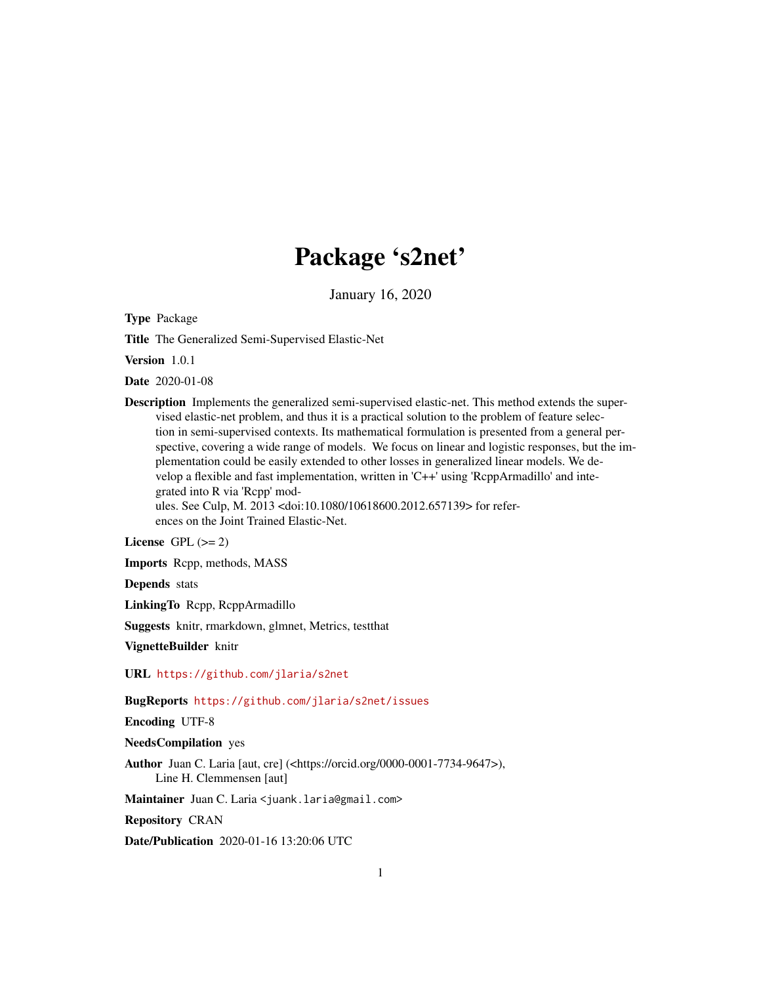# Package 's2net'

January 16, 2020

<span id="page-0-0"></span>Type Package

Title The Generalized Semi-Supervised Elastic-Net

Version 1.0.1

Date 2020-01-08

Description Implements the generalized semi-supervised elastic-net. This method extends the supervised elastic-net problem, and thus it is a practical solution to the problem of feature selection in semi-supervised contexts. Its mathematical formulation is presented from a general perspective, covering a wide range of models. We focus on linear and logistic responses, but the implementation could be easily extended to other losses in generalized linear models. We develop a flexible and fast implementation, written in 'C++' using 'RcppArmadillo' and integrated into R via 'Rcpp' modules. See Culp, M. 2013 <doi:10.1080/10618600.2012.657139> for refer-

ences on the Joint Trained Elastic-Net.

License GPL  $(>= 2)$ 

Imports Rcpp, methods, MASS

Depends stats

LinkingTo Rcpp, RcppArmadillo

Suggests knitr, rmarkdown, glmnet, Metrics, testthat

VignetteBuilder knitr

URL <https://github.com/jlaria/s2net>

BugReports <https://github.com/jlaria/s2net/issues>

Encoding UTF-8

NeedsCompilation yes

Author Juan C. Laria [aut, cre] (<https://orcid.org/0000-0001-7734-9647>), Line H. Clemmensen [aut]

Maintainer Juan C. Laria <juank.laria@gmail.com>

Repository CRAN

Date/Publication 2020-01-16 13:20:06 UTC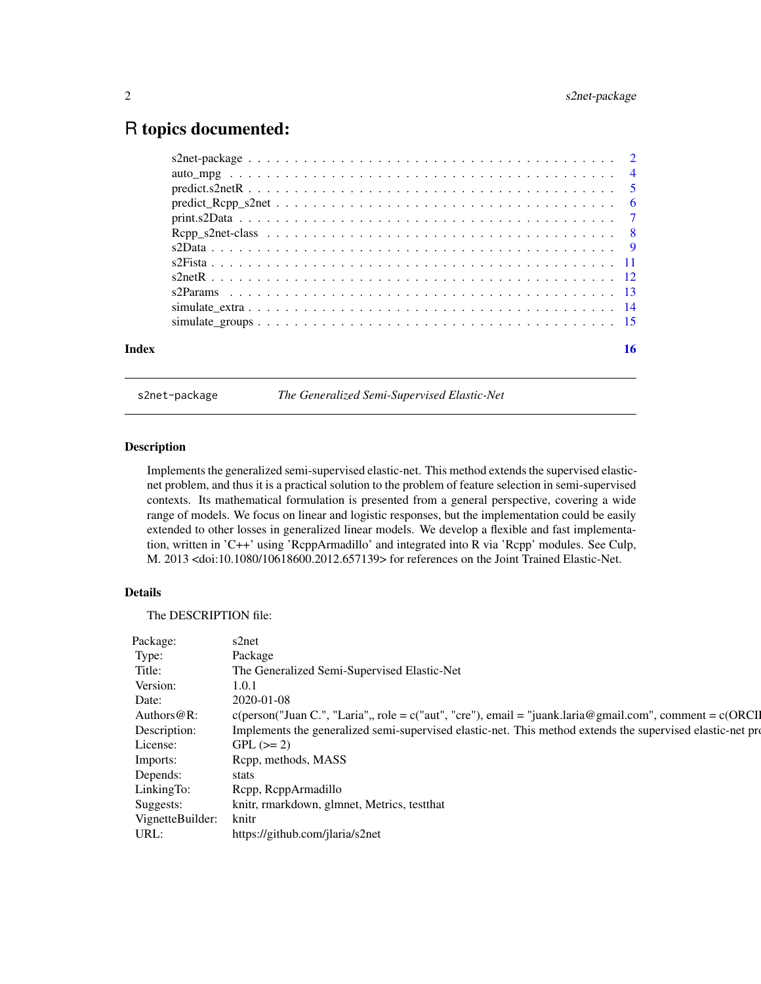# <span id="page-1-0"></span>R topics documented:

|       | $predict\_Rcpp\_s2net \ldots \ldots \ldots \ldots \ldots \ldots \ldots \ldots \ldots \ldots \ldots \ldots \ldots$ |    |
|-------|-------------------------------------------------------------------------------------------------------------------|----|
|       |                                                                                                                   |    |
|       |                                                                                                                   |    |
|       |                                                                                                                   |    |
|       |                                                                                                                   |    |
|       |                                                                                                                   |    |
|       |                                                                                                                   |    |
|       |                                                                                                                   |    |
|       |                                                                                                                   |    |
| Index |                                                                                                                   | 16 |

s2net-package *The Generalized Semi-Supervised Elastic-Net*

#### <span id="page-1-1"></span>Description

Implements the generalized semi-supervised elastic-net. This method extends the supervised elasticnet problem, and thus it is a practical solution to the problem of feature selection in semi-supervised contexts. Its mathematical formulation is presented from a general perspective, covering a wide range of models. We focus on linear and logistic responses, but the implementation could be easily extended to other losses in generalized linear models. We develop a flexible and fast implementation, written in 'C++' using 'RcppArmadillo' and integrated into R via 'Rcpp' modules. See Culp, M. 2013 <doi:10.1080/10618600.2012.657139> for references on the Joint Trained Elastic-Net.

# Details

The DESCRIPTION file:

| Package:<br>s2net<br>Package<br>The Generalized Semi-Supervised Elastic-Net<br>1.0.1<br>2020-01-08 |                                                                                                                         |
|----------------------------------------------------------------------------------------------------|-------------------------------------------------------------------------------------------------------------------------|
| Type:<br>Title:<br>Version:<br>Date:                                                               |                                                                                                                         |
|                                                                                                    |                                                                                                                         |
|                                                                                                    |                                                                                                                         |
|                                                                                                    |                                                                                                                         |
|                                                                                                    |                                                                                                                         |
|                                                                                                    | Authors @R: c(person("Juan C.", "Laria",, role = c("aut", "cre"), email = "juank.laria@gmail.com", comment = c(ORCI     |
|                                                                                                    | Description: Implements the generalized semi-supervised elastic-net. This method extends the supervised elastic-net pro |
| $GPL (= 2)$<br>icense:                                                                             |                                                                                                                         |
| Rcpp, methods, MASS<br>Imports:                                                                    |                                                                                                                         |
| Depends:<br>stats                                                                                  |                                                                                                                         |
| Rcpp, RcppArmadillo<br>LinkingTo:                                                                  |                                                                                                                         |
| knitr, rmarkdown, glmnet, Metrics, testthat<br>Suggests:                                           |                                                                                                                         |
| VignetteBuilder: knitr                                                                             |                                                                                                                         |
| https://github.com/jlaria/s2net<br>JRL.                                                            |                                                                                                                         |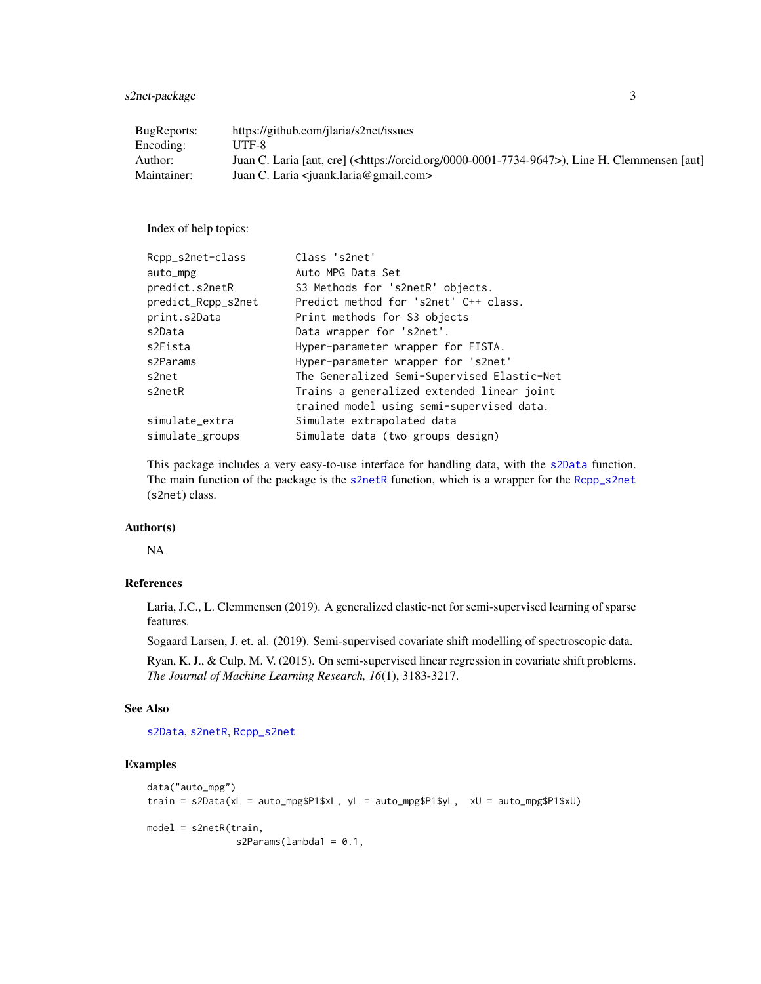<span id="page-2-0"></span>s2net-package 3

| BugReports: | https://github.com/jlaria/s2net/issues                                                                      |
|-------------|-------------------------------------------------------------------------------------------------------------|
| Encoding:   | UTF-8                                                                                                       |
| Author:     | Juan C. Laria [aut, cre] ( <https: 0000-0001-7734-9647="" orcid.org="">), Line H. Clemmensen [aut]</https:> |
| Maintainer: | Juan C. Laria <iuank.laria@gmail.com></iuank.laria@gmail.com>                                               |

Index of help topics:

| Rcpp_s2net-class   | Class 's2net'                               |
|--------------------|---------------------------------------------|
| auto_mpg           | Auto MPG Data Set                           |
| predict.s2netR     | S3 Methods for 's2netR' objects.            |
| predict_Rcpp_s2net | Predict method for 's2net' C++ class.       |
| print.s2Data       | Print methods for S3 objects                |
| s2Data             | Data wrapper for 's2net'.                   |
| s2Fista            | Hyper-parameter wrapper for FISTA.          |
| s2Params           | Hyper-parameter wrapper for 's2net'         |
| s2net              | The Generalized Semi-Supervised Elastic-Net |
| s2netR             | Trains a generalized extended linear joint  |
|                    | trained model using semi-supervised data.   |
| simulate_extra     | Simulate extrapolated data                  |
| simulate_groups    | Simulate data (two groups design)           |
|                    |                                             |

This package includes a very easy-to-use interface for handling data, with the [s2Data](#page-8-1) function. The main function of the package is the [s2netR](#page-11-1) function, which is a wrapper for the [Rcpp\\_s2net](#page-7-1) (s2net) class.

# Author(s)

NA

#### References

Laria, J.C., L. Clemmensen (2019). A generalized elastic-net for semi-supervised learning of sparse features.

Sogaard Larsen, J. et. al. (2019). Semi-supervised covariate shift modelling of spectroscopic data.

Ryan, K. J., & Culp, M. V. (2015). On semi-supervised linear regression in covariate shift problems. *The Journal of Machine Learning Research, 16*(1), 3183-3217.

#### See Also

[s2Data](#page-8-1), [s2netR](#page-11-1), [Rcpp\\_s2net](#page-7-1)

# Examples

```
data("auto_mpg")
train = s2Data(xL = auto_mpg$P1$xL, yL = auto_mpg$P1$yL, xU = auto_mpg$P1$xU)
model = s2netR(train,
               s2Params(lambda1 = 0.1,
```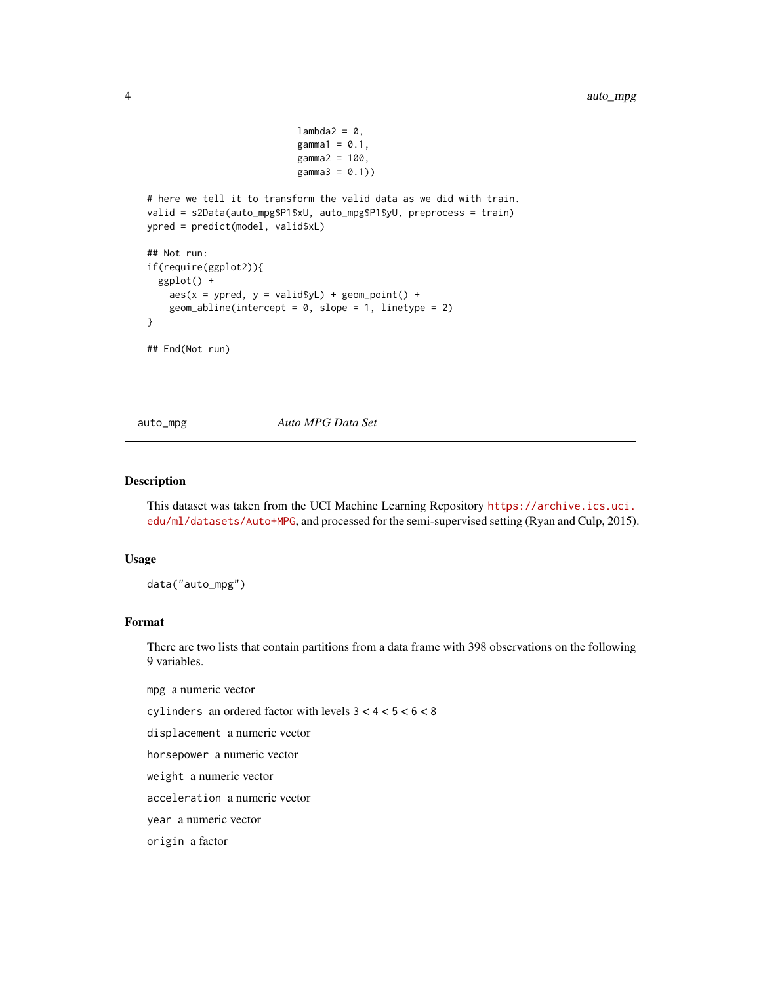```
lambda2 = 0,
                           gamma = 0.1,
                           gamma2 = 100,gamma3 = 0.1)
# here we tell it to transform the valid data as we did with train.
valid = s2Data(auto_mpg$P1$xU, auto_mpg$P1$yU, preprocess = train)
ypred = predict(model, valid$xL)
## Not run:
if(require(ggplot2)){
  ggplot() +
    aes(x = ypred, y = valid$yL) + geom\_point() +geom_abline(intercept = 0, slope = 1, linetype = 2)
}
## End(Not run)
```
auto\_mpg *Auto MPG Data Set*

#### Description

This dataset was taken from the UCI Machine Learning Repository [https://archive.ics.uci.](https://archive.ics.uci.edu/ml/datasets/Auto+MPG) [edu/ml/datasets/Auto+MPG](https://archive.ics.uci.edu/ml/datasets/Auto+MPG), and processed for the semi-supervised setting (Ryan and Culp, 2015).

#### Usage

data("auto\_mpg")

#### Format

There are two lists that contain partitions from a data frame with 398 observations on the following 9 variables.

mpg a numeric vector

cylinders an ordered factor with levels 3 < 4 < 5 < 6 < 8

displacement a numeric vector

horsepower a numeric vector

weight a numeric vector

acceleration a numeric vector

year a numeric vector

origin a factor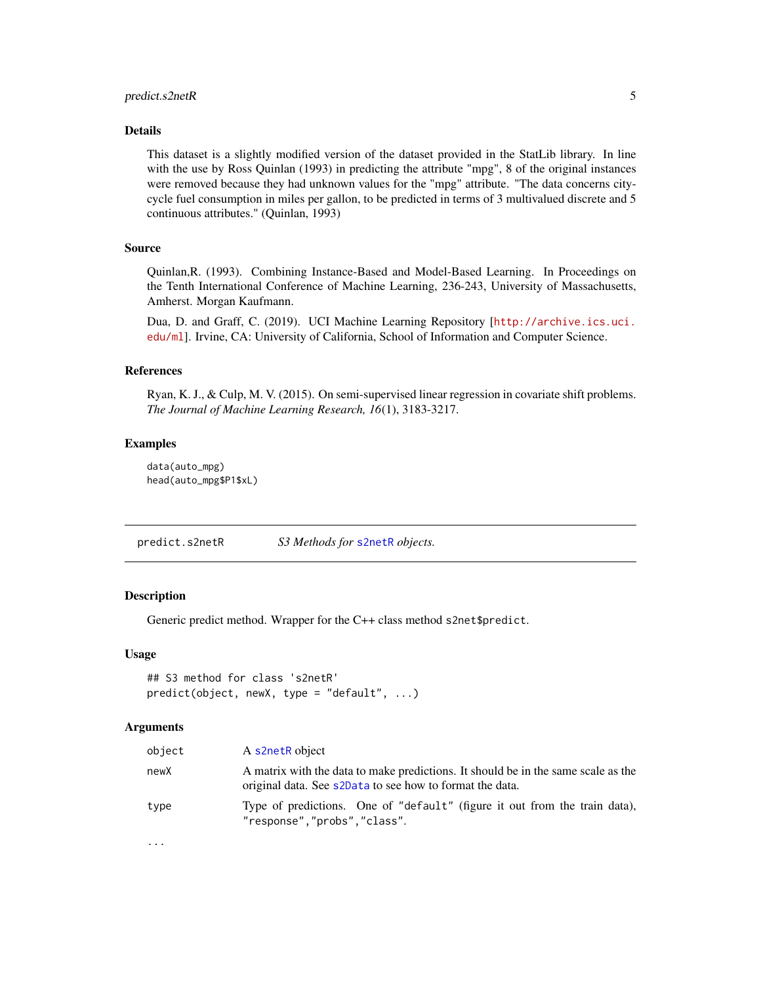#### <span id="page-4-0"></span>Details

This dataset is a slightly modified version of the dataset provided in the StatLib library. In line with the use by Ross Quinlan (1993) in predicting the attribute "mpg", 8 of the original instances were removed because they had unknown values for the "mpg" attribute. "The data concerns citycycle fuel consumption in miles per gallon, to be predicted in terms of 3 multivalued discrete and 5 continuous attributes." (Quinlan, 1993)

#### Source

Quinlan,R. (1993). Combining Instance-Based and Model-Based Learning. In Proceedings on the Tenth International Conference of Machine Learning, 236-243, University of Massachusetts, Amherst. Morgan Kaufmann.

Dua, D. and Graff, C. (2019). UCI Machine Learning Repository [[http://archive.ics.uci.](http://archive.ics.uci.edu/ml) [edu/ml](http://archive.ics.uci.edu/ml)]. Irvine, CA: University of California, School of Information and Computer Science.

#### References

Ryan, K. J., & Culp, M. V. (2015). On semi-supervised linear regression in covariate shift problems. *The Journal of Machine Learning Research, 16*(1), 3183-3217.

# Examples

data(auto\_mpg) head(auto\_mpg\$P1\$xL)

predict.s2netR *S3 Methods for* [s2netR](#page-11-1) *objects.*

#### **Description**

Generic predict method. Wrapper for the C++ class method s2net\$predict.

#### Usage

```
## S3 method for class 's2netR'
predict(object, newX, type = "default", ...)
```
#### Arguments

| object | A s2netR object                                                                                                                               |
|--------|-----------------------------------------------------------------------------------------------------------------------------------------------|
| newX   | A matrix with the data to make predictions. It should be in the same scale as the<br>original data. See s2Data to see how to format the data. |
| type   | Type of predictions. One of "default" (figure it out from the train data),<br>"response","probs","class".                                     |

...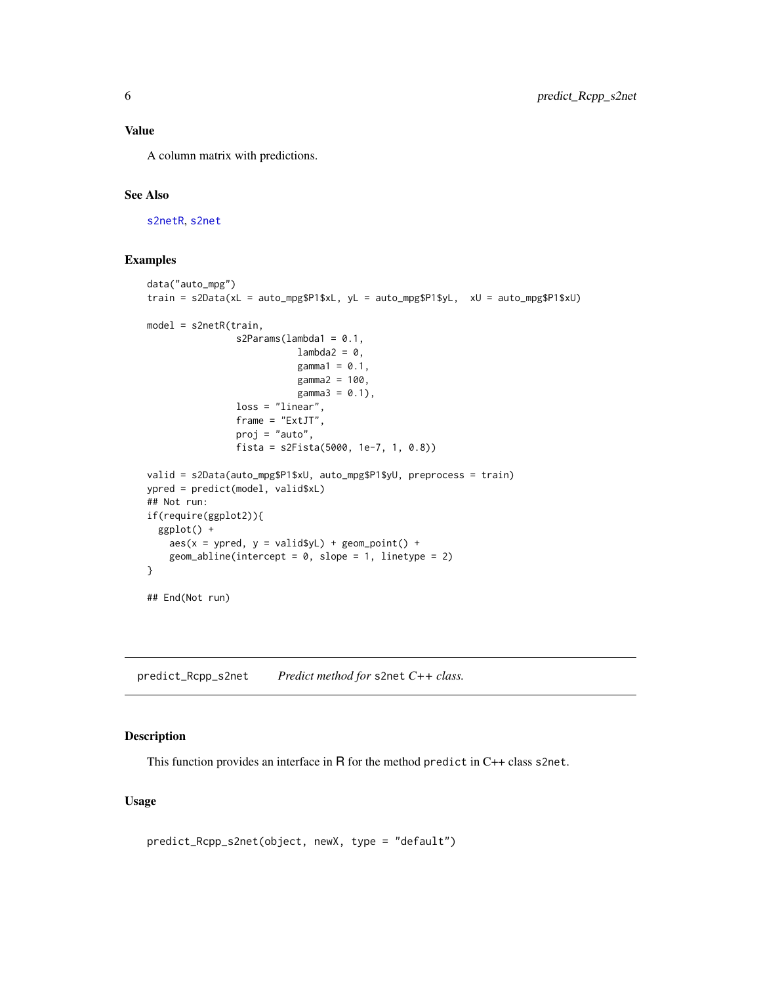# <span id="page-5-0"></span>Value

A column matrix with predictions.

# See Also

[s2netR](#page-11-1), [s2net](#page-1-1)

# Examples

```
data("auto_mpg")
train = s2Data(xL = auto_mpg$P1$xL, yL = auto_mpg$P1$yL, xU = auto_mpg$P1$xU)
model = s2netR(train,
                s2Params(lambda1 = 0.1,
                          lambda2 = 0,
                           gamma1 = 0.1,
                           gamma2 = 100,gamma3 = 0.1,
                loss = "linear",
                frame = "ExtJT",
                proj = "auto",
                fista = s2Fista(5000, 1e-7, 1, 0.8))
valid = s2Data(auto_mpg$P1$xU, auto_mpg$P1$yU, preprocess = train)
ypred = predict(model, valid$xL)
## Not run:
if(require(ggplot2)){
  ggplot() +
    aes(x = ypred, y = valid$yL) + geom\_point() +geom_abline(intercept = 0, slope = 1, linetype = 2)
}
## End(Not run)
```
<span id="page-5-1"></span>predict\_Rcpp\_s2net *Predict method for* s2net *C++ class.*

# Description

This function provides an interface in R for the method predict in C++ class s2net.

# Usage

predict\_Rcpp\_s2net(object, newX, type = "default")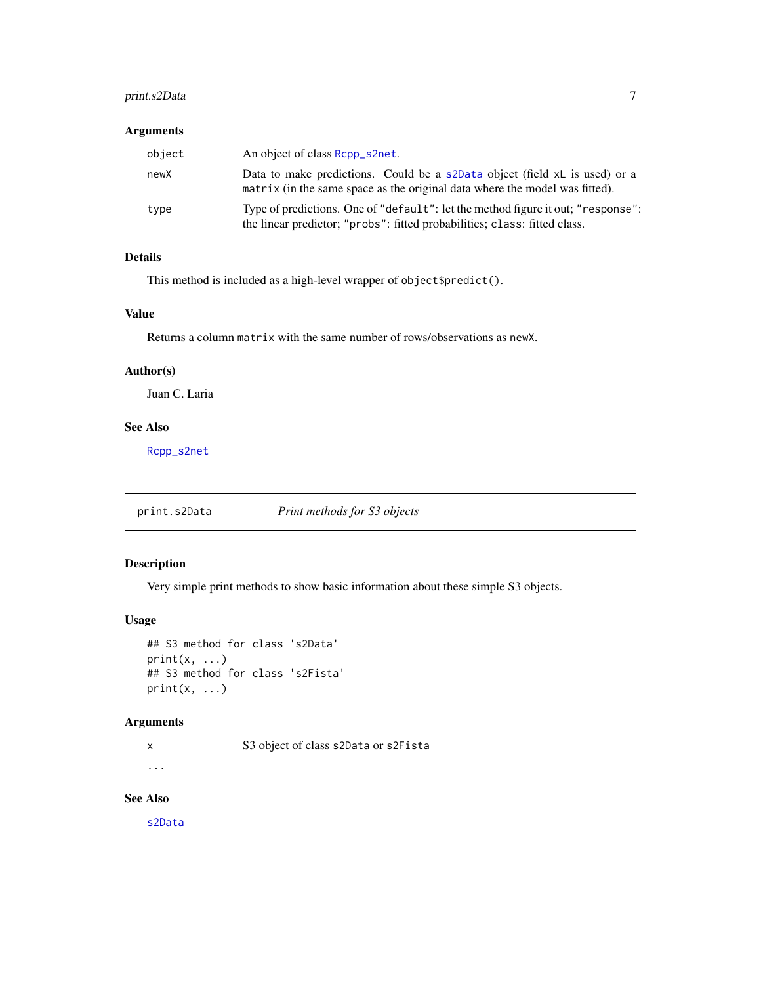# <span id="page-6-0"></span>print.s2Data 7

#### Arguments

| object | An object of class Rcpp_s2net.                                                                                                                                |
|--------|---------------------------------------------------------------------------------------------------------------------------------------------------------------|
| newX   | Data to make predictions. Could be a s2Data object (field xL is used) or a<br>matrix (in the same space as the original data where the model was fitted).     |
| type   | Type of predictions. One of "default": let the method figure it out; "response":<br>the linear predictor; "probs": fitted probabilities; class: fitted class. |

# Details

This method is included as a high-level wrapper of object\$predict().

# Value

Returns a column matrix with the same number of rows/observations as newX.

#### Author(s)

Juan C. Laria

# See Also

[Rcpp\\_s2net](#page-7-1)

print.s2Data *Print methods for S3 objects*

# Description

Very simple print methods to show basic information about these simple S3 objects.

# Usage

```
## S3 method for class 's2Data'
print(x, \ldots)## S3 method for class 's2Fista'
print(x, \ldots)
```
# Arguments

x S3 object of class s2Data or s2Fista

#### ...

See Also

[s2Data](#page-8-1)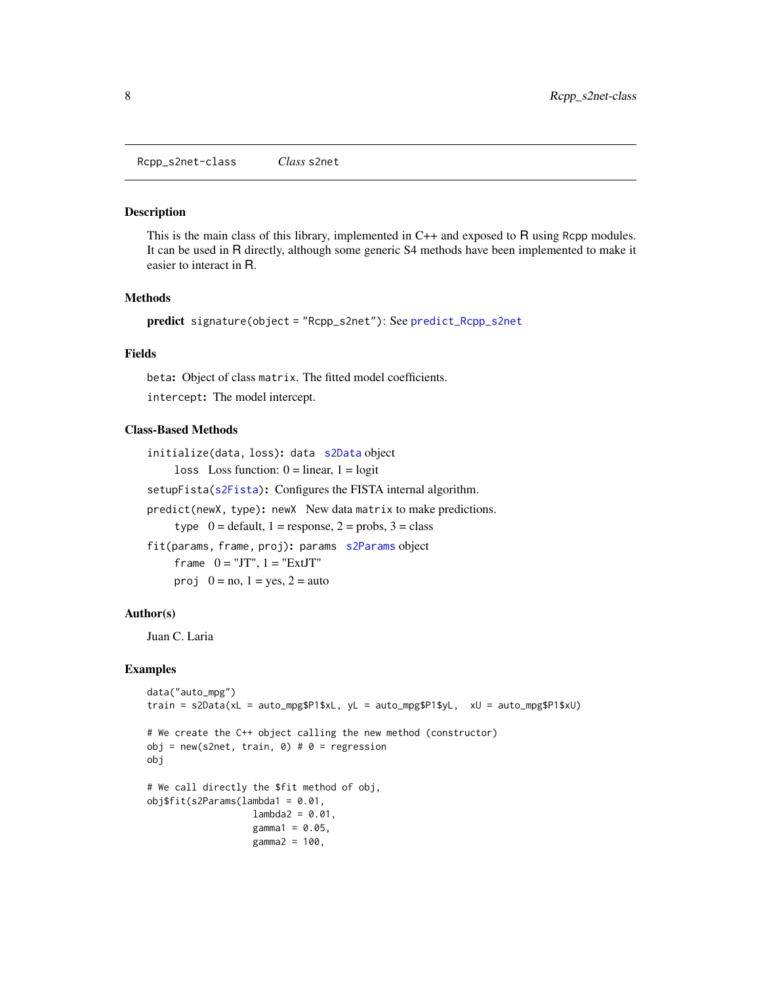<span id="page-7-0"></span>Rcpp\_s2net-class *Class* s2net

#### <span id="page-7-1"></span>Description

This is the main class of this library, implemented in C++ and exposed to R using Rcpp modules. It can be used in R directly, although some generic S4 methods have been implemented to make it easier to interact in R.

#### Methods

```
predict signature(object = "Rcpp_s2net"): See predict_Rcpp_s2net
```
#### Fields

beta: Object of class matrix. The fitted model coefficients.

intercept: The model intercept.

# Class-Based Methods

```
initialize(data, loss): data s2Data object
     loss Loss function: 0 = linear, 1 = logit
```
setupFista[\(s2Fista\)](#page-10-1): Configures the FISTA internal algorithm.

predict(newX, type): newX New data matrix to make predictions.

type  $0 =$  default,  $1 =$  response,  $2 =$  probs,  $3 =$  class

```
fit(params, frame, proj): params s2Params object
```
frame  $0 = "JT", 1 = "ExtJT"$ proj  $0 = no$ ,  $1 = yes$ ,  $2 = auto$ 

#### Author(s)

Juan C. Laria

# Examples

```
data("auto_mpg")
train = s2Data(xL = auto_mpg$P1$xL, yL = auto_mpg$P1$yL, xU = auto_mpg$P1$xU)
# We create the C++ object calling the new method (constructor)
obj = new(s2net, train, 0) # 0 = regressionobj
# We call directly the $fit method of obj,
obj$fit(s2Params(lambda1 = 0.01,
                  lambda2 = 0.01,
                  gamma1 = 0.05,
                  gamma2 = 100,
```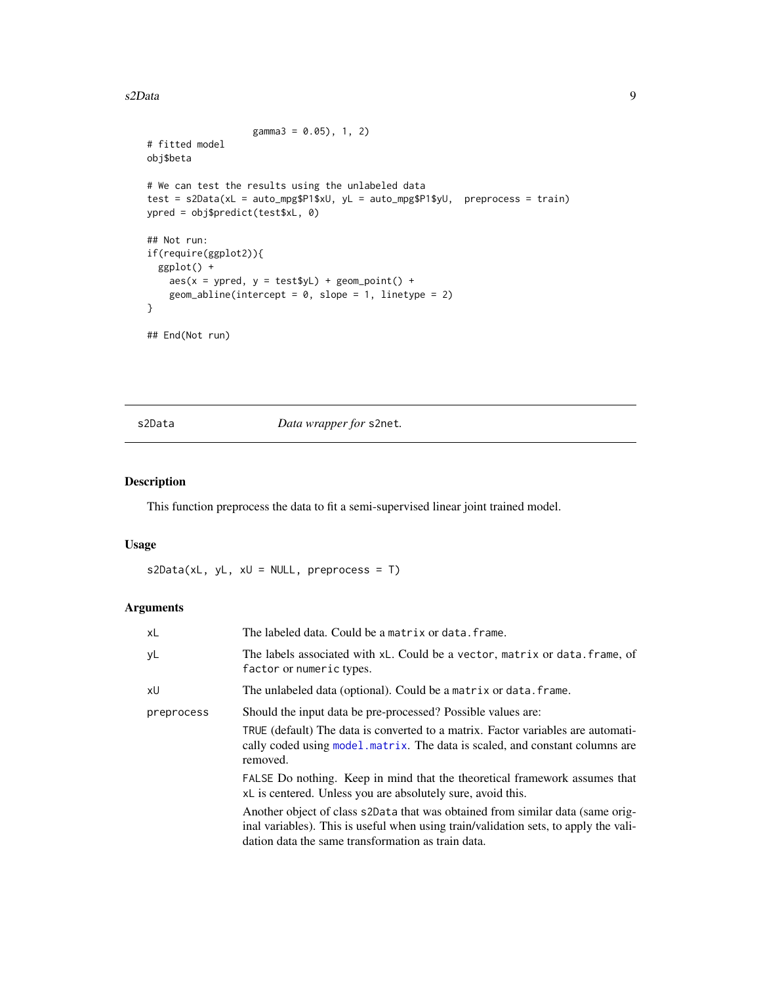#### <span id="page-8-0"></span>s2Data 9

```
gamma3 = 0.05, 1, 2)
# fitted model
obj$beta
# We can test the results using the unlabeled data
test = s2Data(xL = auto_mpg$P1$xU, yL = auto_mpg$P1$yU, preprocess = train)
ypred = obj$predict(test$xL, 0)
## Not run:
if(require(ggplot2)){
  ggplot() +
   aes(x = ypred, y = test$yL) + geom\_point() +geom_abline(intercept = 0, slope = 1, linetype = 2)
}
## End(Not run)
```
<span id="page-8-1"></span>

s2Data *Data wrapper for* s2net*.*

# Description

This function preprocess the data to fit a semi-supervised linear joint trained model.

#### Usage

 $s2Data(xL, yL, xU = NULL, preprocess = T)$ 

# Arguments

| xL         | The labeled data. Could be a matrix or data. frame.                                                                                                                                                                          |
|------------|------------------------------------------------------------------------------------------------------------------------------------------------------------------------------------------------------------------------------|
| yL         | The labels associated with xL. Could be a vector, matrix or data. frame, of<br>factor or numeric types.                                                                                                                      |
| xU         | The unlabeled data (optional). Could be a matrix or data. frame.                                                                                                                                                             |
| preprocess | Should the input data be pre-processed? Possible values are:                                                                                                                                                                 |
|            | TRUE (default) The data is converted to a matrix. Factor variables are automati-<br>cally coded using model, matrix. The data is scaled, and constant columns are<br>removed.                                                |
|            | FALSE Do nothing. Keep in mind that the theoretical framework assumes that<br>xL is centered. Unless you are absolutely sure, avoid this.                                                                                    |
|            | Another object of class s2Data that was obtained from similar data (same orig-<br>inal variables). This is useful when using train/validation sets, to apply the vali-<br>dation data the same transformation as train data. |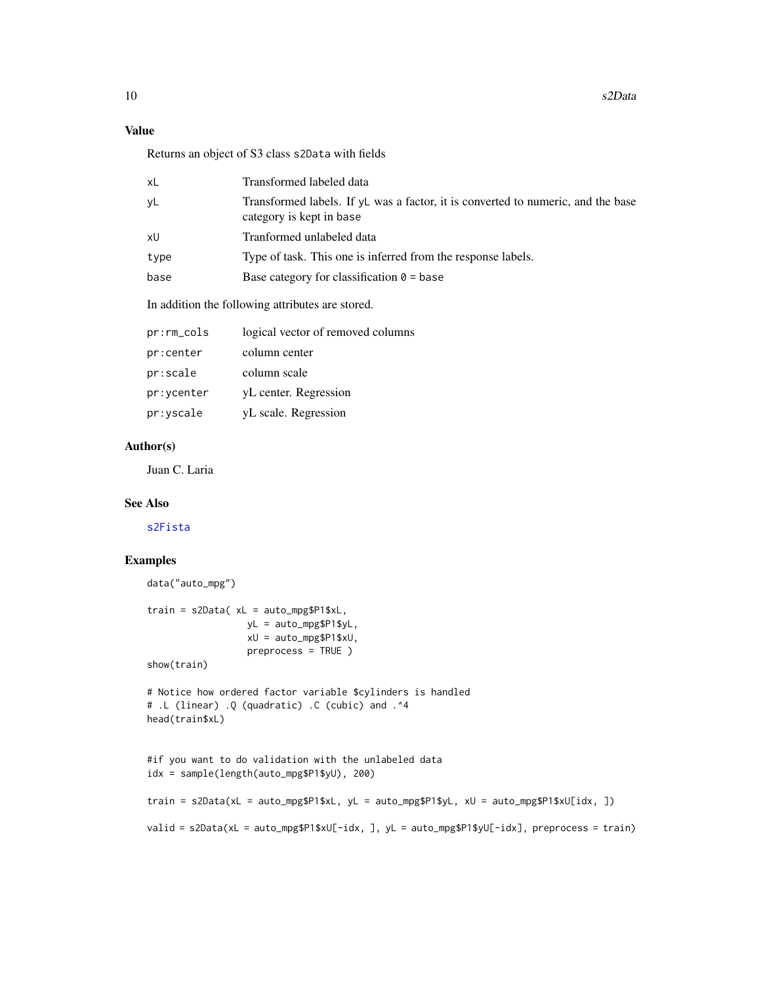# <span id="page-9-0"></span>Value

Returns an object of S3 class s2Data with fields

| xL   | Transformed labeled data                                                                                       |
|------|----------------------------------------------------------------------------------------------------------------|
| yL   | Transformed labels. If $vL$ was a factor, it is converted to numeric, and the base<br>category is kept in base |
| xU   | Tranformed unlabeled data                                                                                      |
| type | Type of task. This one is inferred from the response labels.                                                   |
| base | Base category for classification $\theta$ = base                                                               |
|      |                                                                                                                |

In addition the following attributes are stored.

| pr:rm_cols | logical vector of removed columns |
|------------|-----------------------------------|
| pr:center  | column center                     |
| pr:scale   | column scale                      |
| pr:ycenter | yL center. Regression             |
| pr:yscale  | yL scale. Regression              |
|            |                                   |

# Author(s)

Juan C. Laria

# See Also

[s2Fista](#page-10-1)

# Examples

```
data("auto_mpg")
train = s2Data( xL = auto_mpg$P1$xL,
                 yL = auto_mpg$P1$yL,
                 xU = auto_mpg$P1$xU,
                  preprocess = TRUE )
show(train)
# Notice how ordered factor variable $cylinders is handled
# .L (linear) .Q (quadratic) .C (cubic) and .^4
head(train$xL)
#if you want to do validation with the unlabeled data
idx = sample(length(auto_mpg$P1$yU), 200)
train = s2Data(xL = auto_mpg$P1$xL, yL = auto_mpg$P1$yL, xU = auto_mpg$P1$xU[idx, ])
valid = s2Data(xL = auto_mpg$P1$xU[-idx, ], yL = auto_mpg$P1$yU[-idx], preprocess = train)
```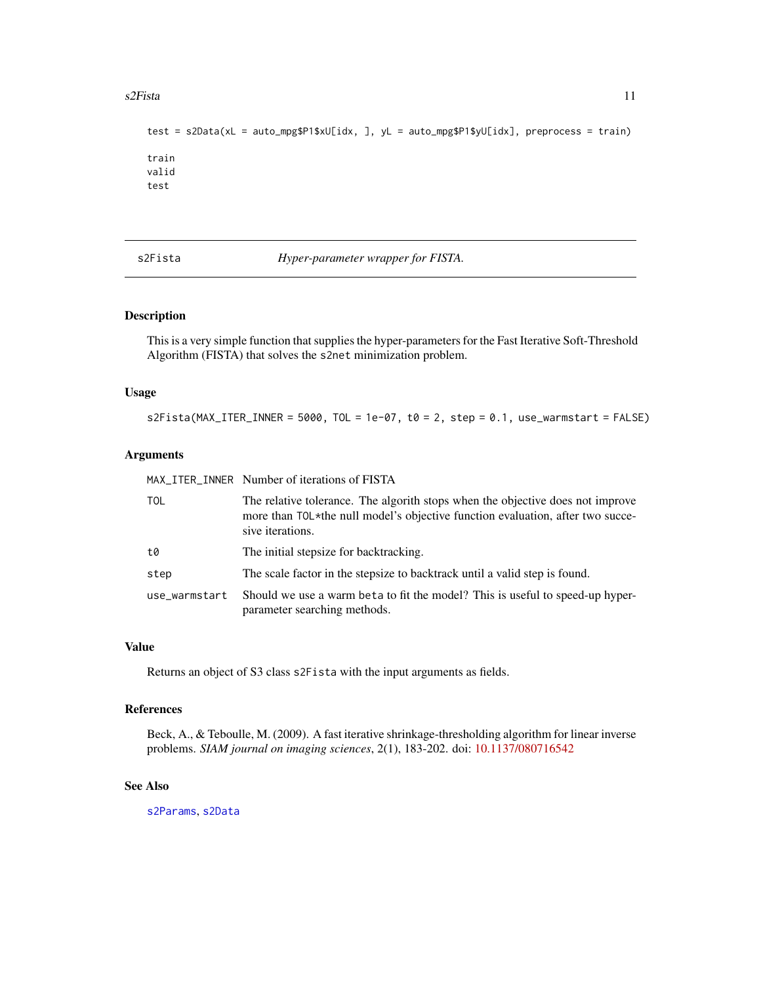#### <span id="page-10-0"></span> $s2Fista$  11

```
test = s2Data(xL = auto_mpg$P1$xU[idx, ], yL = auto_mpg$P1$yU[idx], preprocess = train)
train
valid
test
```
<span id="page-10-1"></span>s2Fista *Hyper-parameter wrapper for FISTA.*

# Description

This is a very simple function that supplies the hyper-parameters for the Fast Iterative Soft-Threshold Algorithm (FISTA) that solves the s2net minimization problem.

#### Usage

 $s2Fista(MAX_ITER_INNER = 5000, TOL = 1e-07, t0 = 2, step = 0.1, use_warmstar t = FALSE)$ 

#### Arguments

MAX\_ITER\_INNER Number of iterations of FISTA

| TOL           | The relative tolerance. The algorith stops when the objective does not improve<br>more than TOL*the null model's objective function evaluation, after two succe-<br>sive iterations. |
|---------------|--------------------------------------------------------------------------------------------------------------------------------------------------------------------------------------|
| t.Ø           | The initial stepsize for backtracking.                                                                                                                                               |
| step          | The scale factor in the stepsize to backtrack until a valid step is found.                                                                                                           |
| use warmstart | Should we use a warm beta to fit the model? This is useful to speed-up hyper-<br>parameter searching methods.                                                                        |

#### Value

Returns an object of S3 class s2Fista with the input arguments as fields.

#### References

Beck, A., & Teboulle, M. (2009). A fast iterative shrinkage-thresholding algorithm for linear inverse problems. *SIAM journal on imaging sciences*, 2(1), 183-202. doi: [10.1137/080716542](https://doi.org/10.1137/080716542)

# See Also

[s2Params](#page-12-1), [s2Data](#page-8-1)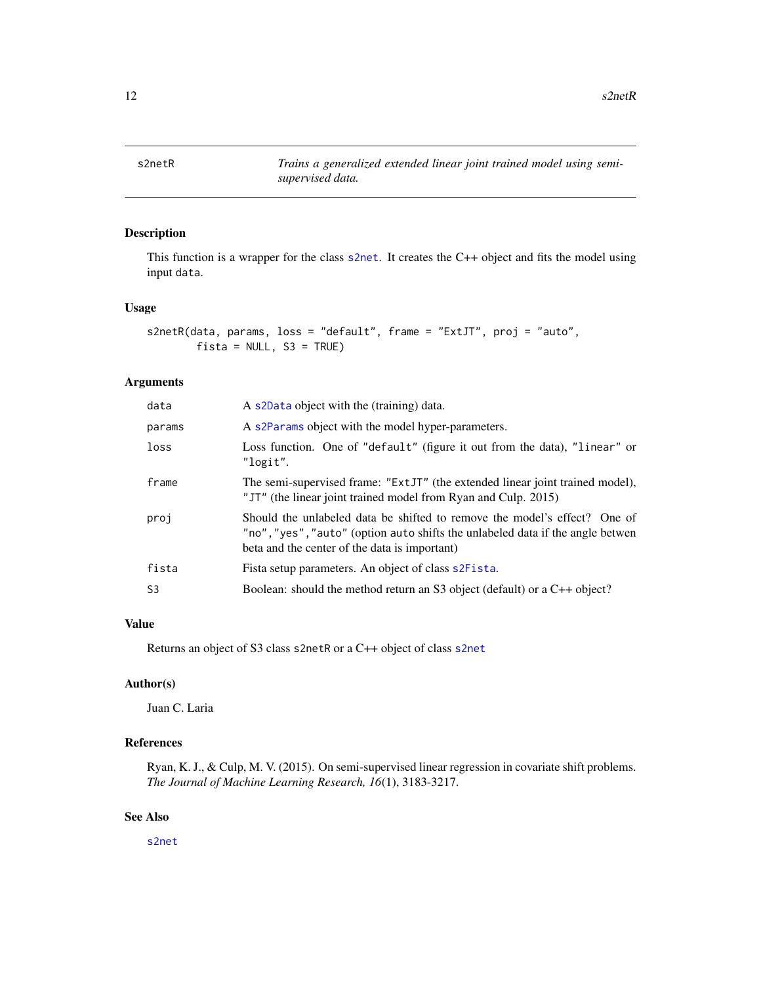<span id="page-11-1"></span><span id="page-11-0"></span>

# Description

This function is a wrapper for the class [s2net](#page-1-1). It creates the C++ object and fits the model using input data.

# Usage

```
s2netR(data, params, loss = "default", frame = "ExtJT", proj = "auto",
       fista = NULL, S3 = TRUE)
```
# Arguments

| data   | A s2Data object with the (training) data.                                                                                                                                                                    |
|--------|--------------------------------------------------------------------------------------------------------------------------------------------------------------------------------------------------------------|
| params | A s2Params object with the model hyper-parameters.                                                                                                                                                           |
| loss   | Loss function. One of "default" (figure it out from the data), "linear" or<br>"logit".                                                                                                                       |
| frame  | The semi-supervised frame: "ExtJT" (the extended linear joint trained model),<br>"JT" (the linear joint trained model from Ryan and Culp. 2015)                                                              |
| proj   | Should the unlabeled data be shifted to remove the model's effect? One of<br>"no", "yes", "auto" (option auto shifts the unlabeled data if the angle betwen<br>beta and the center of the data is important) |
| fista  | Fista setup parameters. An object of class s2Fista.                                                                                                                                                          |
| S3     | Boolean: should the method return an S3 object (default) or a C++ object?                                                                                                                                    |
|        |                                                                                                                                                                                                              |

# Value

Returns an object of S3 class s2netR or a C++ object of class [s2net](#page-1-1)

# Author(s)

Juan C. Laria

# References

Ryan, K. J., & Culp, M. V. (2015). On semi-supervised linear regression in covariate shift problems. *The Journal of Machine Learning Research, 16*(1), 3183-3217.

### See Also

[s2net](#page-1-1)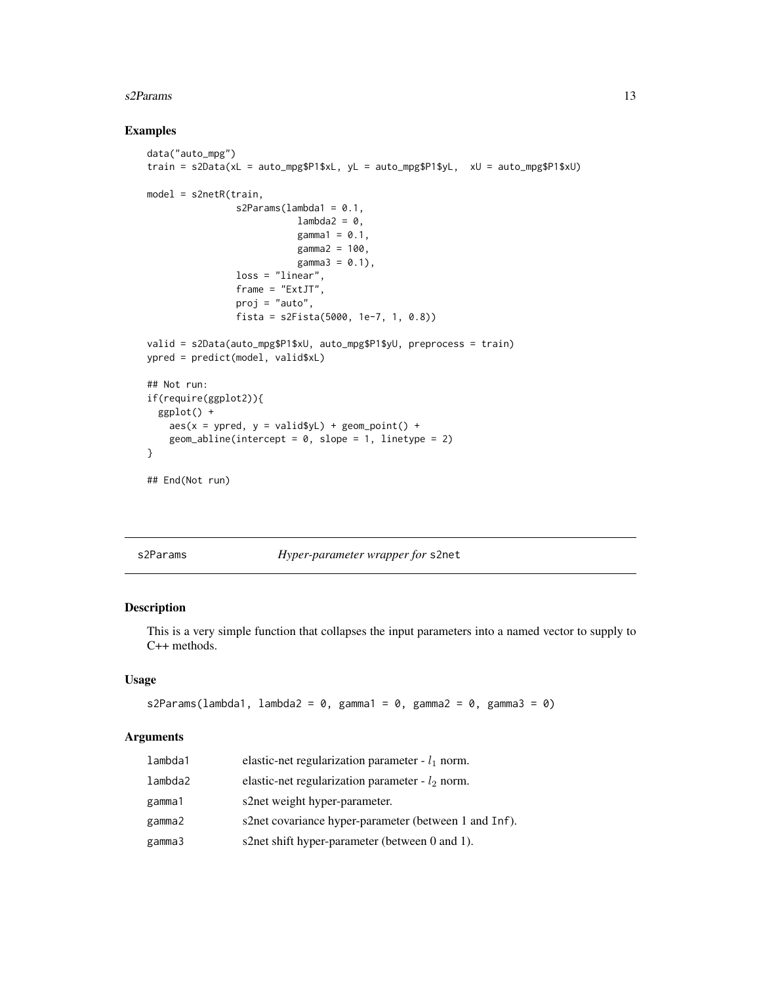#### <span id="page-12-0"></span> $s2$ Params  $13$

# Examples

```
data("auto_mpg")
train = s2Data(xL = auto_mpg$P1$xL, yL = auto_mpg$P1$yL, xU = auto_mpg$P1$xU)
model = s2netR(train,
                s2Params(lambda1 = 0.1,
                          lambda2 = 0,
                           gamma1 = 0.1,
                           gamma2 = 100,
                           gamma3 = 0.1,
                loss = "linear",
                frame = "ExtJT",
                proj = "auto",
                fista = s2Fista(5000, 1e-7, 1, 0.8))
valid = s2Data(auto_mpg$P1$xU, auto_mpg$P1$yU, preprocess = train)
ypred = predict(model, valid$xL)
## Not run:
if(require(ggplot2)){
  ggplot() +
    aes(x = ypred, y = valid$yL) + geom\_point() +geom_abline(intercept = 0, slope = 1, linetype = 2)
}
## End(Not run)
```
<span id="page-12-1"></span>s2Params *Hyper-parameter wrapper for* s2net

# Description

This is a very simple function that collapses the input parameters into a named vector to supply to C++ methods.

# Usage

```
s2Params(lambda1, lambda2 = 0, gamma1 = 0, gamma2 = 0, gamma3 = 0)
```
# Arguments

| lambda1 | elastic-net regularization parameter - $l_1$ norm.    |
|---------|-------------------------------------------------------|
| lambda2 | elastic-net regularization parameter - $l_2$ norm.    |
| gamma1  | s2net weight hyper-parameter.                         |
| gamma2  | s2net covariance hyper-parameter (between 1 and Inf). |
| gamma3  | s2net shift hyper-parameter (between 0 and 1).        |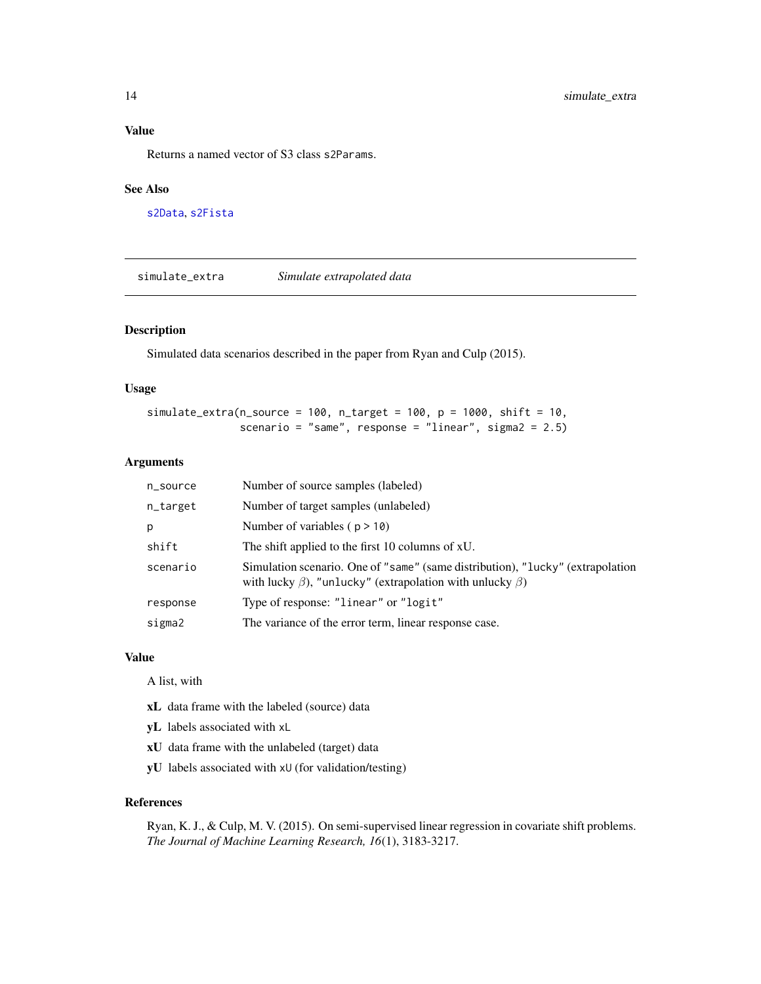#### <span id="page-13-0"></span>Value

Returns a named vector of S3 class s2Params.

# See Also

[s2Data](#page-8-1), [s2Fista](#page-10-1)

<span id="page-13-1"></span>simulate\_extra *Simulate extrapolated data*

#### Description

Simulated data scenarios described in the paper from Ryan and Culp (2015).

# Usage

simulate\_extra(n\_source = 100, n\_target = 100,  $p = 1000$ , shift = 10, scenario = "same", response = "linear", sigma2 = 2.5)

#### Arguments

| n_source | Number of source samples (labeled)                                                                                                                      |
|----------|---------------------------------------------------------------------------------------------------------------------------------------------------------|
| n_target | Number of target samples (unlabeled)                                                                                                                    |
| р        | Number of variables ( $p > 10$ )                                                                                                                        |
| shift    | The shift applied to the first 10 columns of xU.                                                                                                        |
| scenario | Simulation scenario. One of "same" (same distribution), "lucky" (extrapolation<br>with lucky $\beta$ ), "unlucky" (extrapolation with unlucky $\beta$ ) |
| response | Type of response: "linear" or "logit"                                                                                                                   |
| sigma2   | The variance of the error term, linear response case.                                                                                                   |

#### Value

A list, with

- xL data frame with the labeled (source) data
- yL labels associated with xL
- xU data frame with the unlabeled (target) data
- yU labels associated with xU (for validation/testing)

#### References

Ryan, K. J., & Culp, M. V. (2015). On semi-supervised linear regression in covariate shift problems. *The Journal of Machine Learning Research, 16*(1), 3183-3217.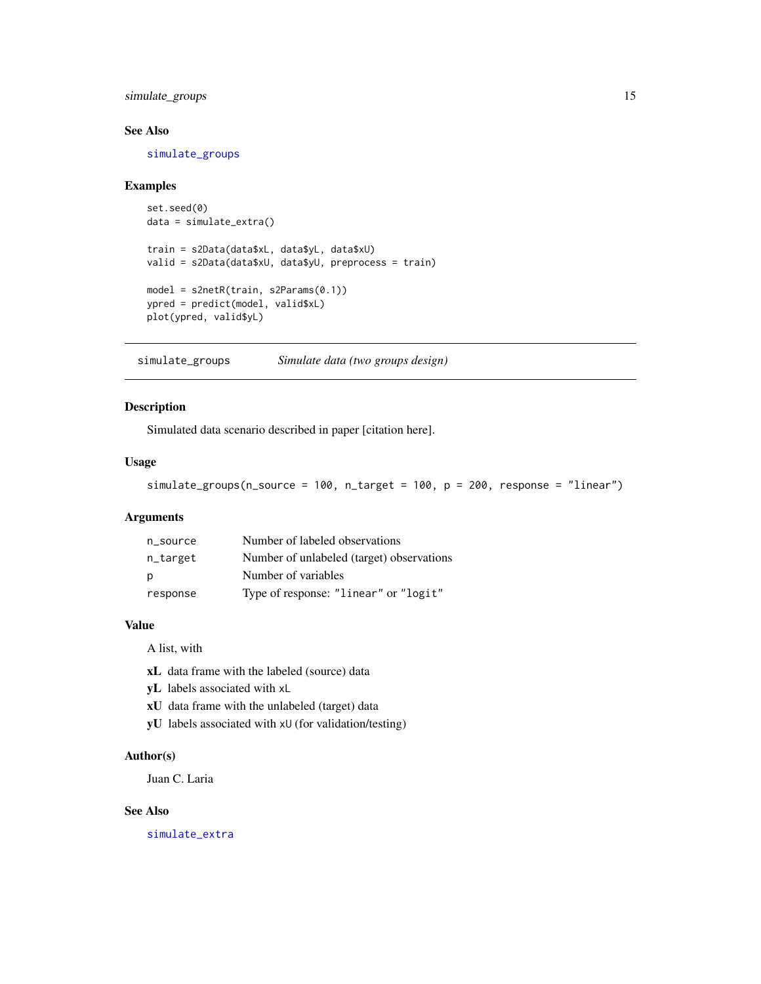<span id="page-14-0"></span>simulate\_groups 15

### See Also

[simulate\\_groups](#page-14-1)

#### Examples

```
set.seed(0)
data = simulate_extra()
train = s2Data(data$xL, data$yL, data$xU)
valid = s2Data(data$xU, data$yU, preprocess = train)
model = s2netR(train, s2Params(0.1))
ypred = predict(model, valid$xL)
plot(ypred, valid$yL)
```
<span id="page-14-1"></span>simulate\_groups *Simulate data (two groups design)*

# Description

Simulated data scenario described in paper [citation here].

#### Usage

simulate\_groups(n\_source = 100, n\_target = 100, p = 200, response = "linear")

#### Arguments

| n source | Number of labeled observations            |
|----------|-------------------------------------------|
| n_target | Number of unlabeled (target) observations |
| p        | Number of variables                       |
| response | Type of response: "linear" or "logit"     |

# Value

A list, with

- xL data frame with the labeled (source) data
- yL labels associated with xL
- xU data frame with the unlabeled (target) data
- yU labels associated with xU (for validation/testing)

#### Author(s)

Juan C. Laria

# See Also

[simulate\\_extra](#page-13-1)